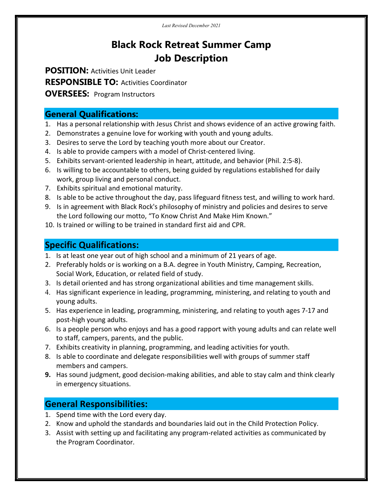# Black Rock Retreat Summer Camp Job Description

POSITION: Activities Unit Leader

RESPONSIBLE TO: Activities Coordinator

**OVERSEES: Program Instructors** 

### General Qualifications:

- 1. Has a personal relationship with Jesus Christ and shows evidence of an active growing faith.
- 2. Demonstrates a genuine love for working with youth and young adults.
- 3. Desires to serve the Lord by teaching youth more about our Creator.
- 4. Is able to provide campers with a model of Christ-centered living.
- 5. Exhibits servant-oriented leadership in heart, attitude, and behavior (Phil. 2:5-8).
- 6. Is willing to be accountable to others, being guided by regulations established for daily work, group living and personal conduct.
- 7. Exhibits spiritual and emotional maturity.
- 8. Is able to be active throughout the day, pass lifeguard fitness test, and willing to work hard.
- 9. Is in agreement with Black Rock's philosophy of ministry and policies and desires to serve the Lord following our motto, "To Know Christ And Make Him Known."
- 10. Is trained or willing to be trained in standard first aid and CPR.

# Specific Qualifications:

- 1. Is at least one year out of high school and a minimum of 21 years of age.
- 2. Preferably holds or is working on a B.A. degree in Youth Ministry, Camping, Recreation, Social Work, Education, or related field of study.
- 3. Is detail oriented and has strong organizational abilities and time management skills.
- 4. Has significant experience in leading, programming, ministering, and relating to youth and young adults.
- 5. Has experience in leading, programming, ministering, and relating to youth ages 7-17 and post-high young adults.
- 6. Is a people person who enjoys and has a good rapport with young adults and can relate well to staff, campers, parents, and the public.
- 7. Exhibits creativity in planning, programming, and leading activities for youth.
- 8. Is able to coordinate and delegate responsibilities well with groups of summer staff members and campers.
- 9. Has sound judgment, good decision-making abilities, and able to stay calm and think clearly in emergency situations.

## General Responsibilities:

- 1. Spend time with the Lord every day.
- 2. Know and uphold the standards and boundaries laid out in the Child Protection Policy.
- 3. Assist with setting up and facilitating any program-related activities as communicated by the Program Coordinator.